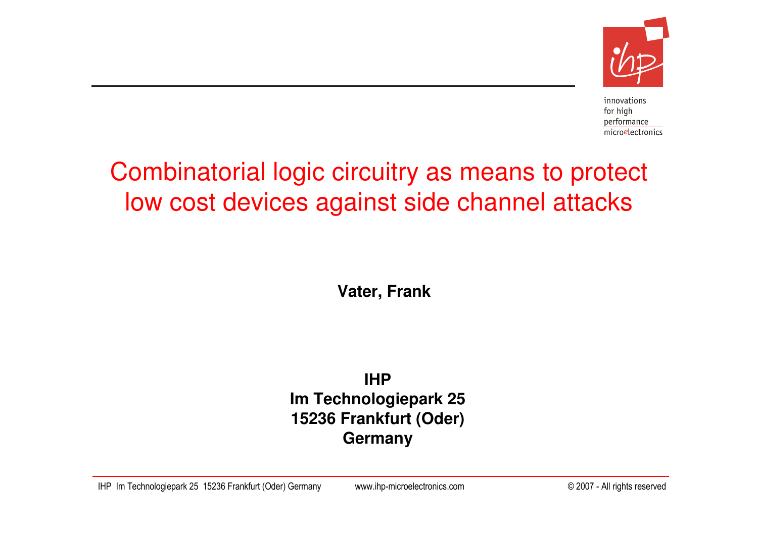

innovations for high performance microelectronics

# Combinatorial logic circuitry as means to protect low cost devices against side channel attacks

**Vater, Frank**

**IHP Im Technologiepark 25 15236 Frankfurt (Oder)Germany**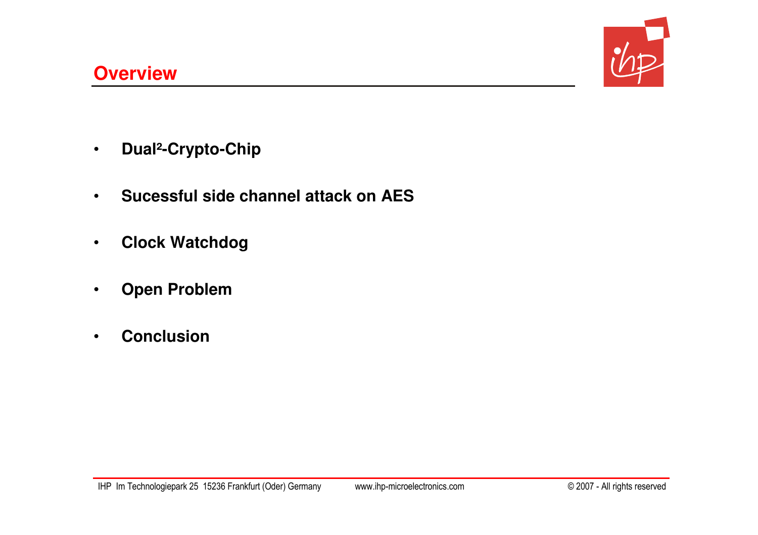

- $\bullet$ **Dual²-Crypto-Chip**
- •**Sucessful side channel attack on AES**
- •**Clock Watchdog**
- $\bullet$ **Open Problem**
- •**Conclusion**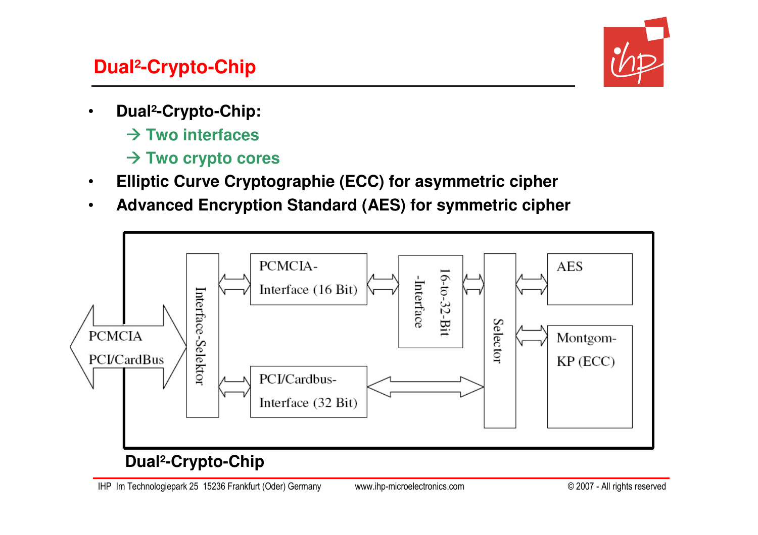# **Dual²-Crypto-Chip**



- • **Dual²-Crypto-Chip:**
	- **Two interfaces**
	- **Two crypto cores**
- •**Elliptic Curve Cryptographie (ECC) for asymmetric cipher**
- $\bullet$ **Advanced Encryption Standard (AES) for symmetric cipher**



## **Dual²-Crypto-Chip**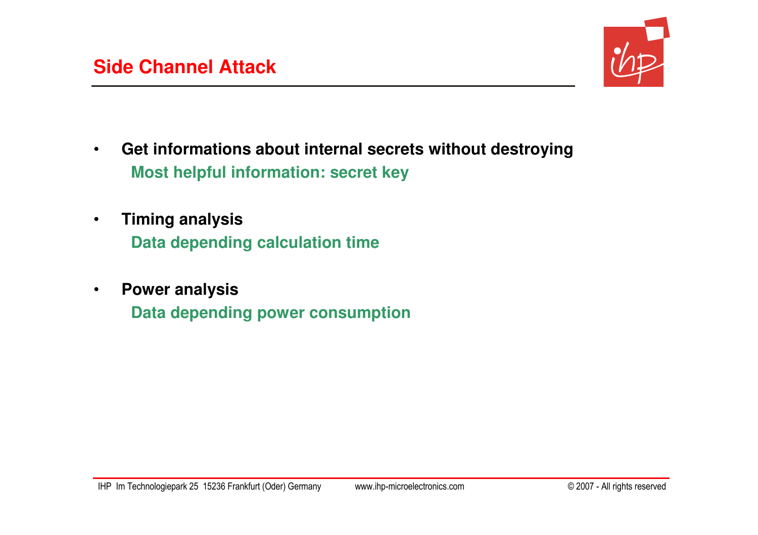

- $\bullet$  **Get informations about internal secrets without destroyingMost helpful information: secret key**
- $\bullet$  **Timing analysis Data depending calculation time**
- $\bullet$  **Power analysisData depending power consumption**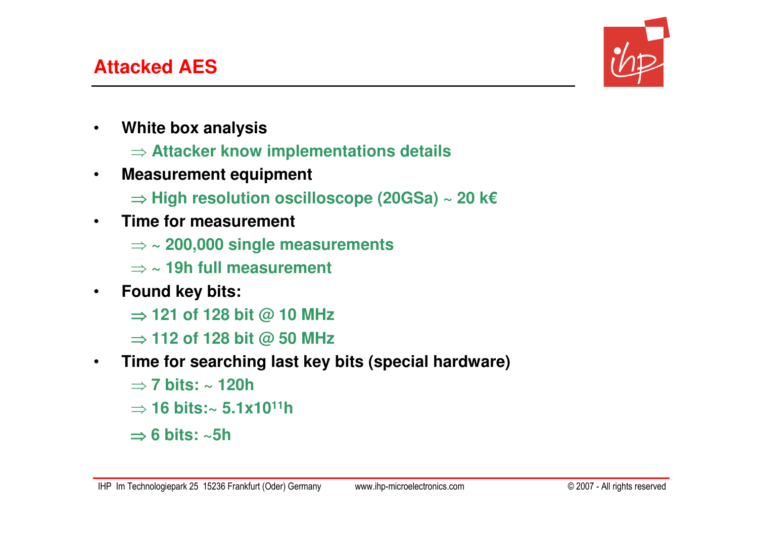

- • **White box analysis**
	- ⇒ **Attacker know implementations details**
- • **Measurement equipment**
	- ⇒ **High resolution oscilloscope (20GSa) ~ 20 k€**
- • **Time for measurement**
	- ⇒ **~ 200,000 single measurements**
	- ⇒ **~ 19h full measurement**
- $\bullet$  **Found key bits:**
	- ⇒ **121 of 128 bit @ 10 MHz**
	- ⇒ **112 of 128 bit @ 50 MHz**
- $\bullet$  **Time for searching last key bits (special hardware)**
	- ⇒ **7 bits: ~ 120h**
	- ⇒ **16 bits:~ 5.1x10<sup>11</sup><sup>h</sup>**
	- ⇒ **6 bits: ~5h**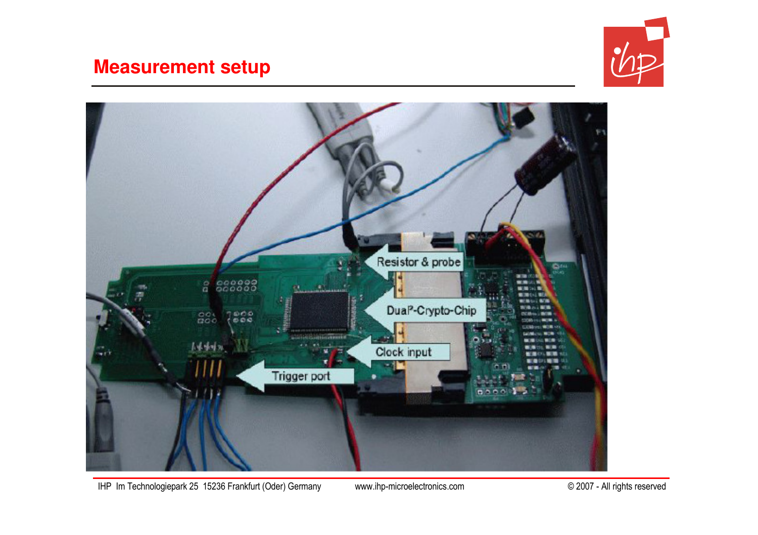#### **Measurement setup**





IHP Im Technologiepark 25 15236 Frankfurt (Oder) Germany www.ihp-microelectronics.com © 2007 - All rights reserved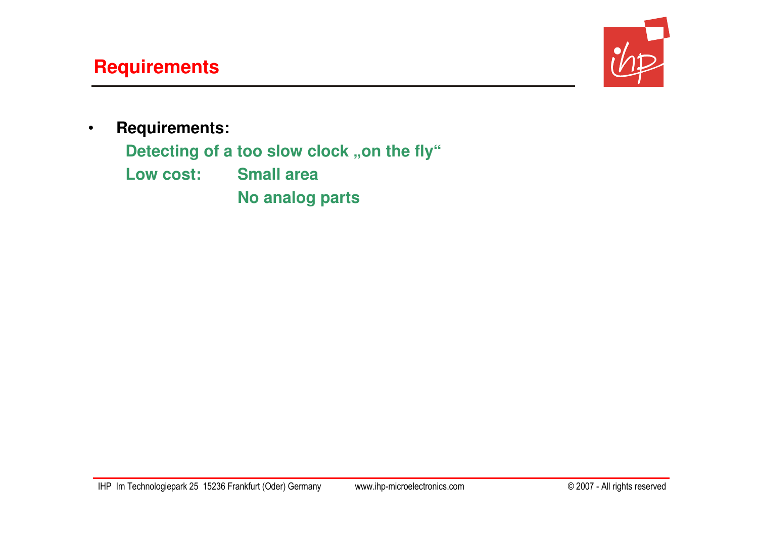# **Requirements**



 $\bullet$ **Requirements:**

Detecting of a too slow clock "on the fly"

**Low cost: Small area**

**No analog parts**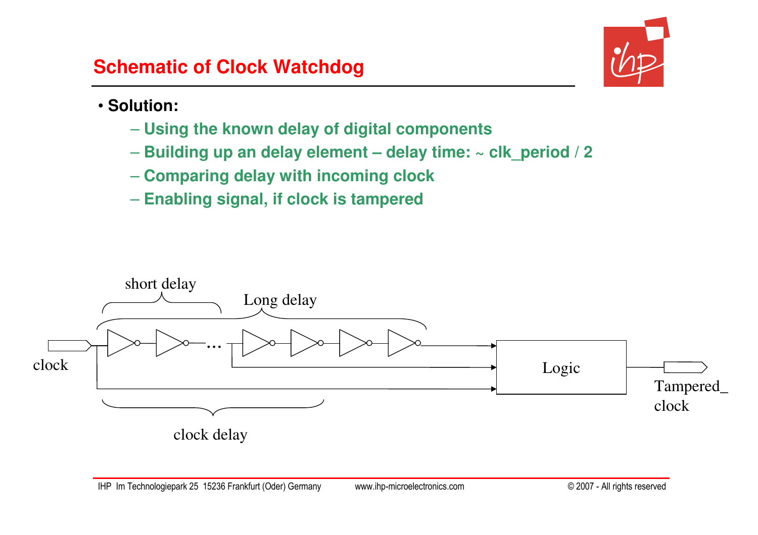

#### • **Solution:**

- **Using the known delay of digital components**
- **Building up an delay element – delay time: ~ clk\_period / 2**
- **Comparing delay with incoming clock**
- **Enabling signal, if clock is tampered**

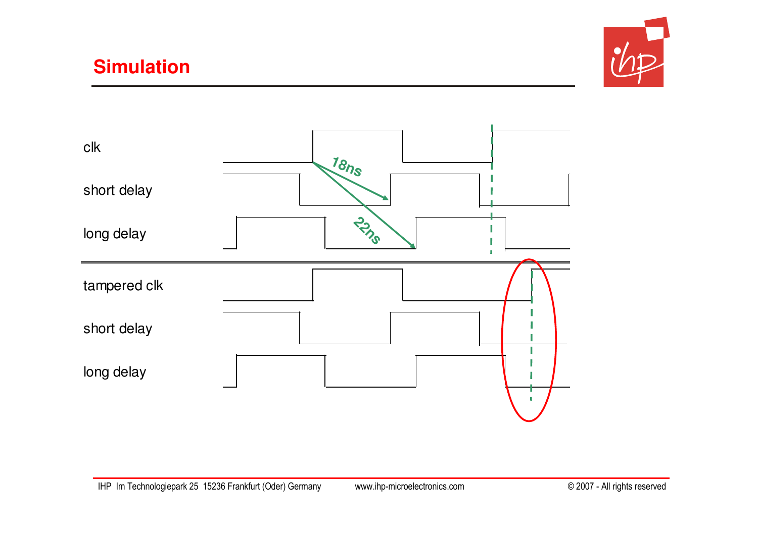# **Simulation**



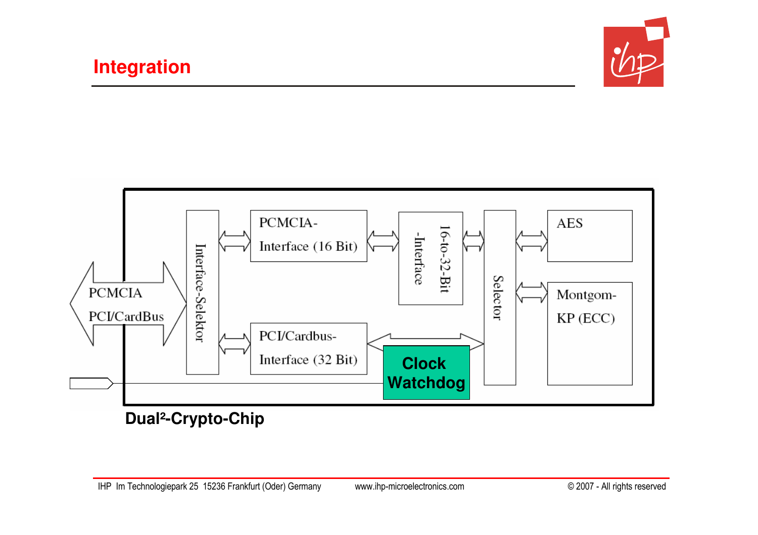



**Dual²-Crypto-Chip**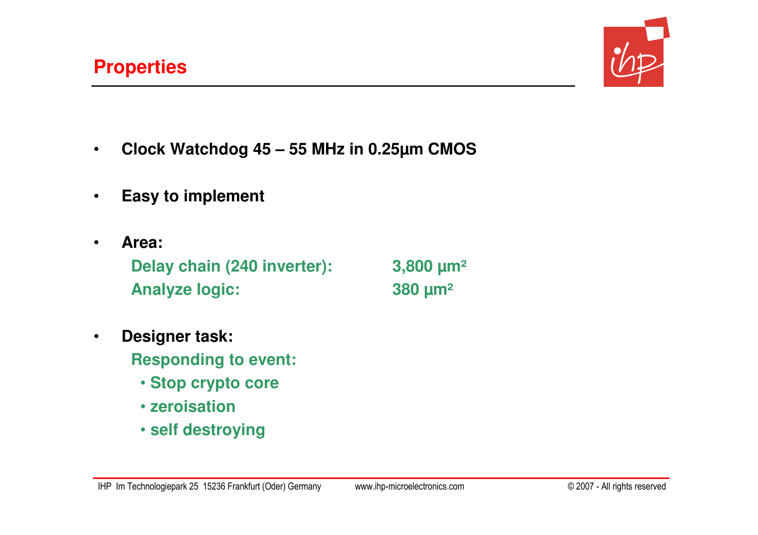•



- •**Clock Watchdog 45 – 55 MHz in 0.25µm CMOS**
- •**Easy to implement**
- **Area: Delay chain (240 inverter): 3,800 µm²Analyze logic: 380 µm²**

- • **Designer task: Responding to event:**
	- **Stop crypto core**
	- **zeroisation**
	- **self destroying**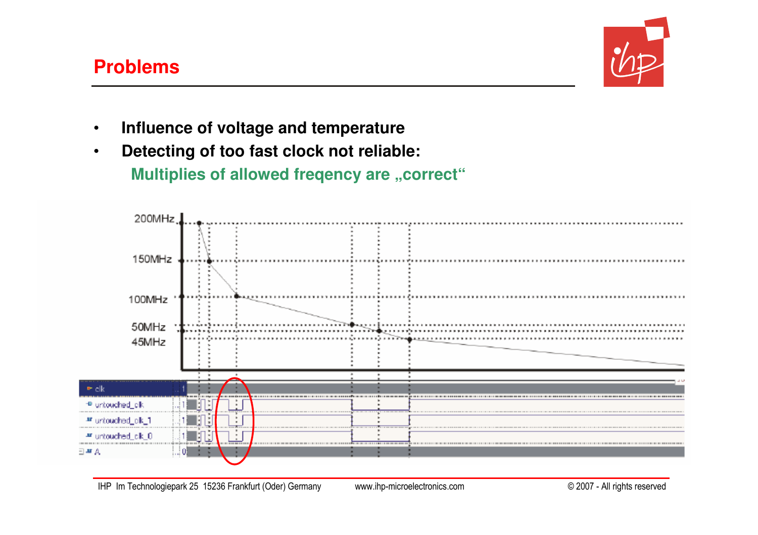#### **Problems**



- •**Influence of voltage and temperature**
- **Detecting of too fast clock not reliable:** •

**Multiplies of allowed freqency are "correct"** 

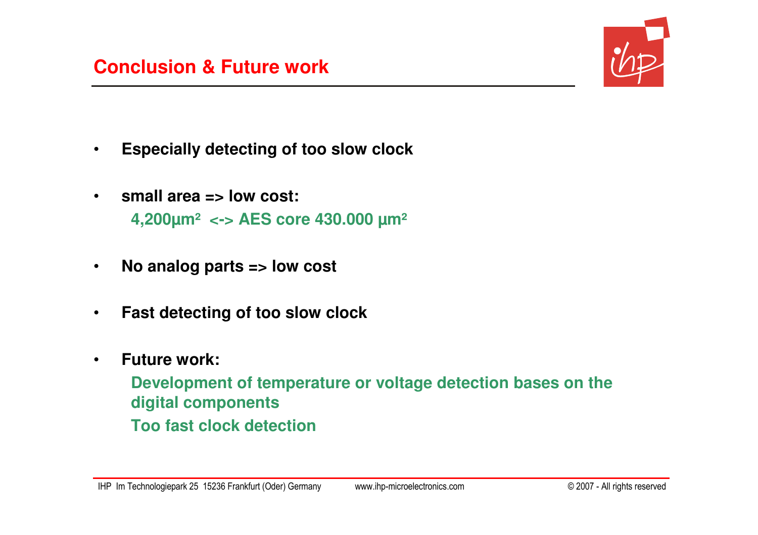

- $\bullet$ **Especially detecting of too slow clock**
- • **small area => low cost: 4,200µm² <-> AES core 430.000 µm²**
- $\bullet$ **No analog parts => low cost**
- •**Fast detecting of too slow clock**
- • **Future work:**
	- **Development of temperature or voltage detection bases on the digital componentsToo fast clock detection**